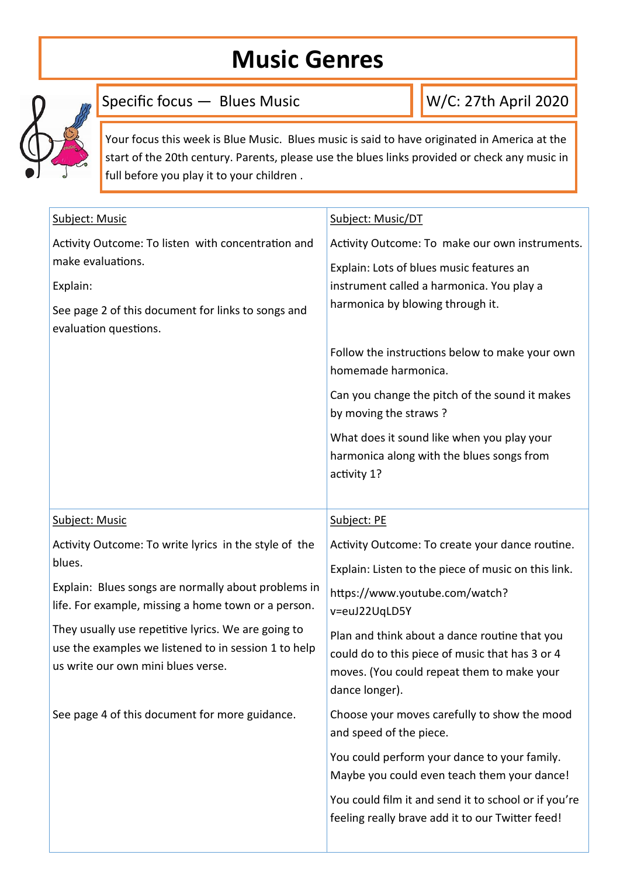## **Music Genres**



Specific focus — Blues Music

W/C: 27th April 2020

Your focus this week is Blue Music. Blues music is said to have originated in America at the start of the 20th century. Parents, please use the blues links provided or check any music in full before you play it to your children .

| Subject: Music                                                                                                                                    | Subject: Music/DT                                                                                                                                                |
|---------------------------------------------------------------------------------------------------------------------------------------------------|------------------------------------------------------------------------------------------------------------------------------------------------------------------|
| Activity Outcome: To listen with concentration and                                                                                                | Activity Outcome: To make our own instruments.                                                                                                                   |
| make evaluations.                                                                                                                                 | Explain: Lots of blues music features an                                                                                                                         |
| Explain:                                                                                                                                          | instrument called a harmonica. You play a                                                                                                                        |
| See page 2 of this document for links to songs and<br>evaluation questions.                                                                       | harmonica by blowing through it.                                                                                                                                 |
|                                                                                                                                                   | Follow the instructions below to make your own<br>homemade harmonica.                                                                                            |
|                                                                                                                                                   | Can you change the pitch of the sound it makes<br>by moving the straws?                                                                                          |
|                                                                                                                                                   | What does it sound like when you play your<br>harmonica along with the blues songs from<br>activity 1?                                                           |
| Subject: Music                                                                                                                                    | Subject: PE                                                                                                                                                      |
| Activity Outcome: To write lyrics in the style of the                                                                                             | Activity Outcome: To create your dance routine.                                                                                                                  |
| blues.                                                                                                                                            | Explain: Listen to the piece of music on this link.                                                                                                              |
| Explain: Blues songs are normally about problems in<br>life. For example, missing a home town or a person.                                        | https://www.youtube.com/watch?<br>v=euJ22UqLD5Y                                                                                                                  |
| They usually use repetitive lyrics. We are going to<br>use the examples we listened to in session 1 to help<br>us write our own mini blues verse. | Plan and think about a dance routine that you<br>could do to this piece of music that has 3 or 4<br>moves. (You could repeat them to make your<br>dance longer). |
| See page 4 of this document for more guidance.                                                                                                    | Choose your moves carefully to show the mood<br>and speed of the piece.                                                                                          |
|                                                                                                                                                   | You could perform your dance to your family.<br>Maybe you could even teach them your dance!                                                                      |
|                                                                                                                                                   | You could film it and send it to school or if you're<br>feeling really brave add it to our Twitter feed!                                                         |
|                                                                                                                                                   |                                                                                                                                                                  |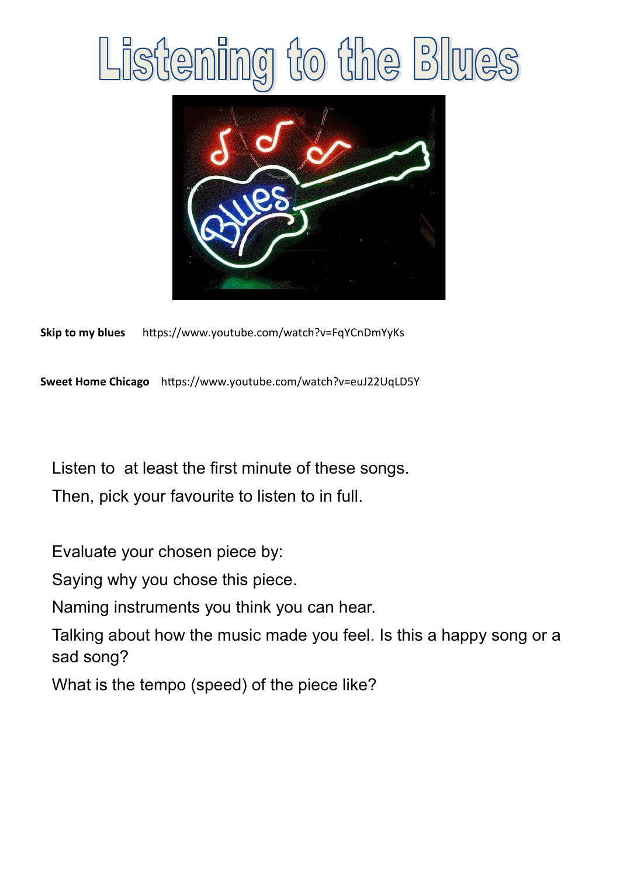## to the Blues Listeni mg



**Skip to my blues** https://www.youtube.com/watch?v=FqYCnDmYyKs

**Sweet Home Chicago** https://www.youtube.com/watch?v=euJ22UqLD5Y

Listen to at least the first minute of these songs. Then, pick your favourite to listen to in full.

Evaluate your chosen piece by:

Saying why you chose this piece.

Naming instruments you think you can hear.

Talking about how the music made you feel. Is this a happy song or a sad song?

What is the tempo (speed) of the piece like?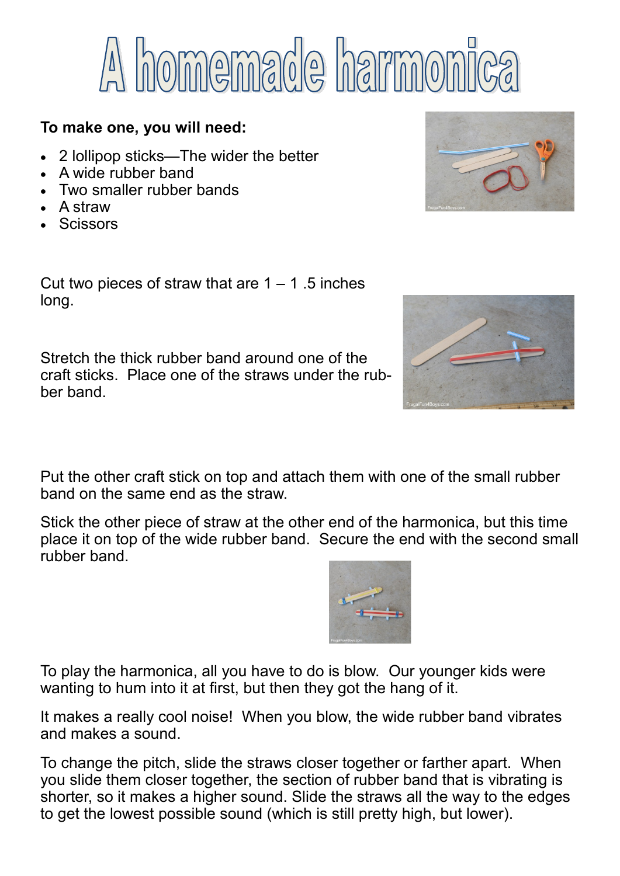

## **To make one, you will need:**

- 2 lollipop sticks—The wider the better
- A wide rubber band
- Two smaller rubber bands
- A straw
- **Scissors**

Cut two pieces of straw that are  $1 - 1$ . 5 inches long.

Stretch the thick rubber band around one of the craft sticks. Place one of the straws under the rubber band.

Put the other craft stick on top and attach them with one of the small rubber band on the same end as the straw.

Stick the other piece of straw at the other end of the harmonica, but this time place it on top of the wide rubber band. Secure the end with the second small rubber band.

To play the harmonica, all you have to do is blow. Our younger kids were wanting to hum into it at first, but then they got the hang of it.

It makes a really cool noise! When you blow, the wide rubber band vibrates and makes a sound.

To change the pitch, slide the straws closer together or farther apart. When you slide them closer together, the section of rubber band that is vibrating is shorter, so it makes a higher sound. Slide the straws all the way to the edges to get the lowest possible sound (which is still pretty high, but lower).